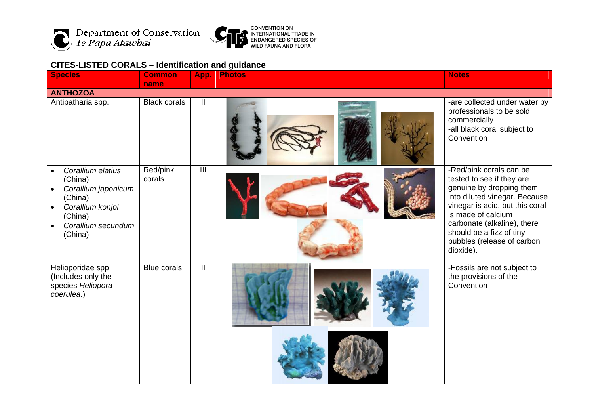

Department of Conservation<br>Te Papa Atawbai



## **CITES-LISTED CORALS – Identification and guidance**

| <b>Species</b>                                                                                                                                                        | <b>Common</b>       | App.                    | <b>Photos</b> | <b>Notes</b>                                                                                                                                                                                                                                                                     |
|-----------------------------------------------------------------------------------------------------------------------------------------------------------------------|---------------------|-------------------------|---------------|----------------------------------------------------------------------------------------------------------------------------------------------------------------------------------------------------------------------------------------------------------------------------------|
|                                                                                                                                                                       | name                |                         |               |                                                                                                                                                                                                                                                                                  |
| <b>ANTHOZOA</b><br>Antipatharia spp.                                                                                                                                  | <b>Black corals</b> | Ш                       |               | -are collected under water by<br>professionals to be sold<br>commercially<br>-all black coral subject to<br>Convention                                                                                                                                                           |
| Corallium elatius<br>$\bullet$<br>(China)<br>Corallium japonicum<br>(China)<br>Corallium konjoi<br>$\bullet$<br>(China)<br>Corallium secundum<br>$\bullet$<br>(China) | Red/pink<br>corals  | $\overline{\mathbb{H}}$ |               | -Red/pink corals can be<br>tested to see if they are<br>genuine by dropping them<br>into diluted vinegar. Because<br>vinegar is acid, but this coral<br>is made of calcium<br>carbonate (alkaline), there<br>should be a fizz of tiny<br>bubbles (release of carbon<br>dioxide). |
| Helioporidae spp.<br>(Includes only the<br>species Heliopora<br>coerulea.)                                                                                            | <b>Blue corals</b>  | $\mathbf{I}$            |               | -Fossils are not subject to<br>the provisions of the<br>Convention                                                                                                                                                                                                               |
|                                                                                                                                                                       |                     |                         |               |                                                                                                                                                                                                                                                                                  |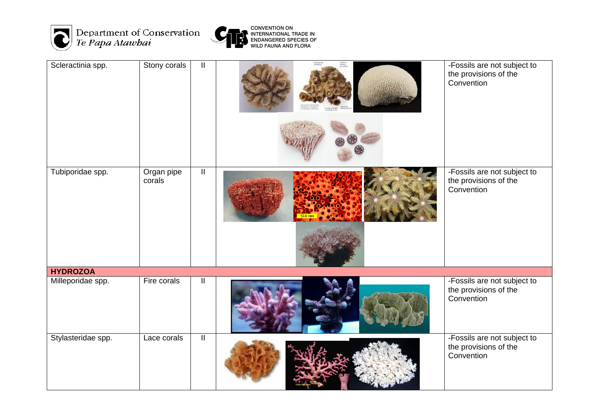



| Scleractinia spp.  | Stony corals         | $\ensuremath{\mathsf{II}}$ |  | -Fossils are not subject to<br>the provisions of the<br>Convention |  |  |  |
|--------------------|----------------------|----------------------------|--|--------------------------------------------------------------------|--|--|--|
| Tubiporidae spp.   | Organ pipe<br>corals | $\ensuremath{\mathsf{II}}$ |  | -Fossils are not subject to<br>the provisions of the<br>Convention |  |  |  |
| <b>HYDROZOA</b>    |                      |                            |  |                                                                    |  |  |  |
| Milleporidae spp.  | Fire corals          | Ш                          |  | -Fossils are not subject to<br>the provisions of the<br>Convention |  |  |  |
| Stylasteridae spp. | Lace corals          | $\overline{\mathbb{I}}$    |  | -Fossils are not subject to<br>the provisions of the<br>Convention |  |  |  |